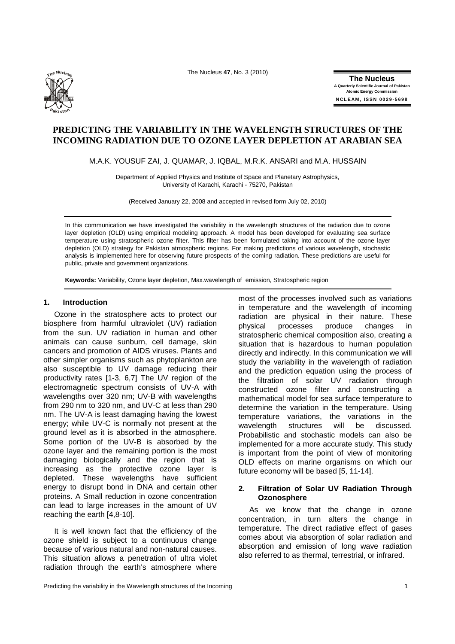The Nucleus **47**, No. 3 (2010) **Th<sup>e</sup> <sup>N</sup><sup>u</sup>cleu<sup>s</sup>**



**The Nucleus A Quarterly Scientific Journal of Pakistan Atomic Energy Commission N C L E AM , ISS N 0029-5698**

# **PREDICTING THE VARIABILITY IN THE WAVELENGTH STRUCTURES OF THE INCOMING RADIATION DUE TO OZONE LAYER DEPLETION AT ARABIAN SEA**

M.A.K. YOUSUF ZAI, J. QUAMAR, J. IQBAL, M.R.K. ANSARI and M.A. HUSSAIN

Department of Applied Physics and Institute of Space and Planetary Astrophysics, University of Karachi, Karachi - 75270, Pakistan

(Received January 22, 2008 and accepted in revised form July 02, 2010)

In this communication we have investigated the variability in the wavelength structures of the radiation due to ozone layer depletion (OLD) using empirical modeling approach. A model has been developed for evaluating sea surface temperature using stratospheric ozone filter. This filter has been formulated taking into account of the ozone layer depletion (OLD) strategy for Pakistan atmospheric regions. For making predictions of various wavelength, stochastic analysis is implemented here for observing future prospects of the coming radiation. These predictions are useful for public, private and government organizations.

**Keywords:** Variability, Ozone layer depletion, Max.wavelength of emission, Stratospheric region

#### **1. Introduction**

Ozone in the stratosphere acts to protect our biosphere from harmful ultraviolet (UV) radiation from the sun. UV radiation in human and other animals can cause sunburn, cell damage, skin cancers and promotion of AIDS viruses. Plants and other simpler organisms such as phytoplankton are also susceptible to UV damage reducing their productivity rates [1-3, 6,7] The UV region of the electromagnetic spectrum consists of UV-A with wavelengths over 320 nm; UV-B with wavelengths from 290 nm to 320 nm, and UV-C at less than 290 nm. The UV-A is least damaging having the lowest energy; while UV-C is normally not present at the ground level as it is absorbed in the atmosphere. Some portion of the UV-B is absorbed by the ozone layer and the remaining portion is the most damaging biologically and the region that is increasing as the protective ozone layer is depleted. These wavelengths have sufficient energy to disrupt bond in DNA and certain other proteins. A Small reduction in ozone concentration can lead to large increases in the amount of UV reaching the earth [4,8-10].

It is well known fact that the efficiency of the ozone shield is subject to a continuous change because of various natural and non-natural causes. This situation allows a penetration of ultra violet radiation through the earth's atmosphere where most of the processes involved such as variations in temperature and the wavelength of incoming radiation are physical in their nature. These physical processes produce changes in stratospheric chemical composition also, creating a situation that is hazardous to human population directly and indirectly. In this communication we will study the variability in the wavelength of radiation and the prediction equation using the process of the filtration of solar UV radiation through constructed ozone filter and constructing a mathematical model for sea surface temperature to determine the variation in the temperature. Using temperature variations, the variations in the wavelength structures will be discussed. Probabilistic and stochastic models can also be implemented for a more accurate study. This study is important from the point of view of monitoring OLD effects on marine organisms on which our future economy will be based [5, 11-14].

## **2. Filtration of Solar UV Radiation Through Ozonosphere**

As we know that the change in ozone concentration, in turn alters the change in temperature. The direct radiative effect of gases comes about via absorption of solar radiation and absorption and emission of long wave radiation also referred to as thermal, terrestrial, or infrared.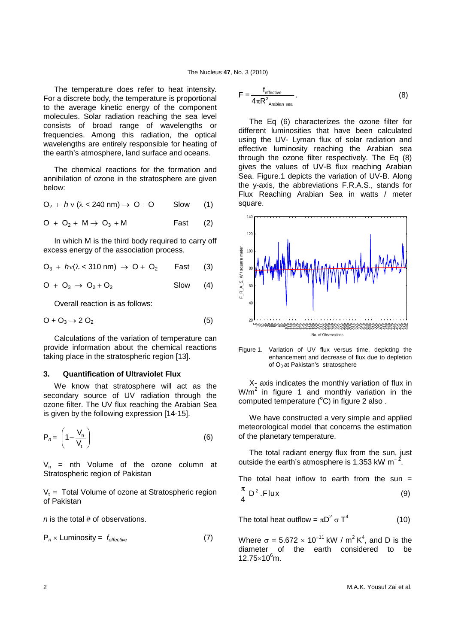The temperature does refer to heat intensity. For a discrete body, the temperature is proportional to the average kinetic energy of the component molecules. Solar radiation reaching the sea level consists of broad range of wavelengths or frequencies. Among this radiation, the optical wavelengths are entirely responsible for heating of the earth's atmosphere, land surface and oceans.

The chemical reactions for the formation and annihilation of ozone in the stratosphere are given below:

$$
O_2 + h \vee (\lambda < 240 \text{ nm}) \rightarrow O + O \qquad \text{Slow} \qquad (1)
$$

$$
O + O_2 + M \rightarrow O_3 + M \qquad \qquad \text{Fast} \qquad (2)
$$

In which M is the third body required to carry off excess energy of the association process.

$$
O_3 + h v (\lambda < 310 \text{ nm}) \rightarrow O + O_2 \quad \text{Fast} \quad (3)
$$

$$
O + O_3 \rightarrow O_2 + O_2 \qquad \qquad \text{Slow} \qquad (4)
$$

Overall reaction is as follows:

$$
O + O_3 \rightarrow 2 O_2 \tag{5}
$$

Calculations of the variation of temperature can provide information about the chemical reactions taking place in the stratospheric region [13].

#### **3. Quantification of Ultraviolet Flux**

We know that stratosphere will act as the secondary source of UV radiation through the ozone filter. The UV flux reaching the Arabian Sea is given by the following expression [14-15].

$$
P_n = \left(1 - \frac{V_n}{V_t}\right) \tag{6}
$$

 $V_n$  = nth Volume of the ozone column at Stratospheric region of Pakistan

 $V_t$  = Total Volume of ozone at Stratospheric region of Pakistan

*n* is the total # of observations.

$$
P_n \times \text{Luminosity} = f_{effective} \tag{7}
$$

$$
F = \frac{f_{\text{effective}}}{4\pi R^2_{\text{Arabian sea}}} \,. \tag{8}
$$

The Eq (6) characterizes the ozone filter for different luminosities that have been calculated using the UV- Lyman flux of solar radiation and effective luminosity reaching the Arabian sea through the ozone filter respectively. The Eq (8) gives the values of UV-B flux reaching Arabian Sea. Figure.1 depicts the variation of UV-B. Along the y-axis, the abbreviations F.R.A.S., stands for Flux Reaching Arabian Sea in watts / meter square.



Figure 1. Variation of UV flux versus time, depicting the enhancement and decrease of flux due to depletion of  $O_3$  at Pakistan's stratosphere

X- axis indicates the monthly variation of flux in  $W/m<sup>2</sup>$  in figure 1 and monthly variation in the computed temperature  $(^{\circ}C)$  in figure 2 also.

We have constructed a very simple and applied meteorological model that concerns the estimation of the planetary temperature.

The total radiant energy flux from the sun, just outside the earth's atmosphere is 1.353 kW  $m^{-2}$ .

The total heat inflow to earth from the sun  $=$  $\frac{\pi}{4}$  D<sup>2</sup>. Flux (9)

The total heat outflow =  $\pi D^2 \sigma T^4$  (10)

Where  $\sigma = 5.672 \times 10^{-11}$  kW / m<sup>2</sup> K<sup>4</sup>, and D is the diameter of the earth considered to be  $12.75 \times 10^6$ m.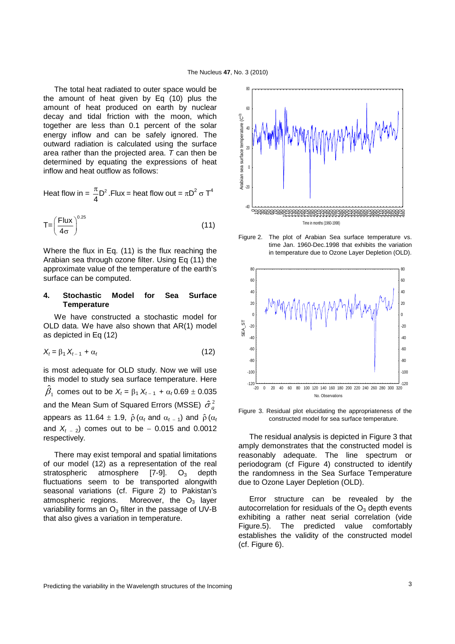The total heat radiated to outer space would be the amount of heat given by Eq (10) plus the amount of heat produced on earth by nuclear decay and tidal friction with the moon, which together are less than 0.1 percent of the solar energy inflow and can be safely ignored. The outward radiation is calculated using the surface area rather than the projected area. *T* can then be determined by equating the expressions of heat inflow and heat outflow as follows:

Heat flow in = 
$$
\frac{\pi}{4}D^2
$$
. Flux = heat flow out =  $\pi D^2 \sigma T^4$ 

$$
T = \left(\frac{Flux}{4\sigma}\right)^{0.25}
$$
 (11)

Where the flux in Eq. (11) is the flux reaching the Arabian sea through ozone filter. Using Eq (11) the approximate value of the temperature of the earth's surface can be computed.

### **4. Stochastic Model for Sea Surface Temperature**

We have constructed a stochastic model for OLD data. We have also shown that AR(1) model as depicted in Eq (12)

$$
X_t = \beta_1 X_{t-1} + \alpha_t \tag{12}
$$

is most adequate for OLD study. Now we will use this model to study sea surface temperature. Here  $\hat{\beta}_1$  comes out to be  $X_t = \beta_1 X_{t-1} + \alpha_t 0.69 \pm 0.035$ and the Mean Sum of Squared Errors (MSSE)  $\,\hat{\sigma}_{a}^{\,2}\,$ appears as 11.64  $\pm$  1.9,  $\hat{\rho} \left( \alpha_t \text{ and } \alpha_{t-1} \right)$  and  $\hat{\rho} \left( \alpha_t \right)$ and  $X_{t-2}$ ) comes out to be – 0.015 and 0.0012 respectively.

There may exist temporal and spatial limitations of our model (12) as a representation of the real stratospheric atmosphere  $[7-9]$ . O<sub>3</sub> depth fluctuations seem to be transported alongwith seasonal variations (cf. Figure 2) to Pakistan's atmospheric regions. Moreover, the  $O<sub>3</sub>$  layer variability forms an  $O_3$  filter in the passage of UV-B that also gives a variation in temperature.



Figure 2. The plot of Arabian Sea surface temperature vs. time Jan. 1960-Dec.1998 that exhibits the variation in temperature due to Ozone Layer Depletion (OLD).



Figure 3. Residual plot elucidating the appropriateness of the constructed model for sea surface temperature.

The residual analysis is depicted in Figure 3 that amply demonstrates that the constructed model is reasonably adequate. The line spectrum or periodogram (cf Figure 4) constructed to identify the randomness in the Sea Surface Temperature due to Ozone Layer Depletion (OLD).

Error structure can be revealed by the autocorrelation for residuals of the  $O<sub>3</sub>$  depth events exhibiting a rather neat serial correlation (vide Figure.5). The predicted value comfortably establishes the validity of the constructed model (cf. Figure 6).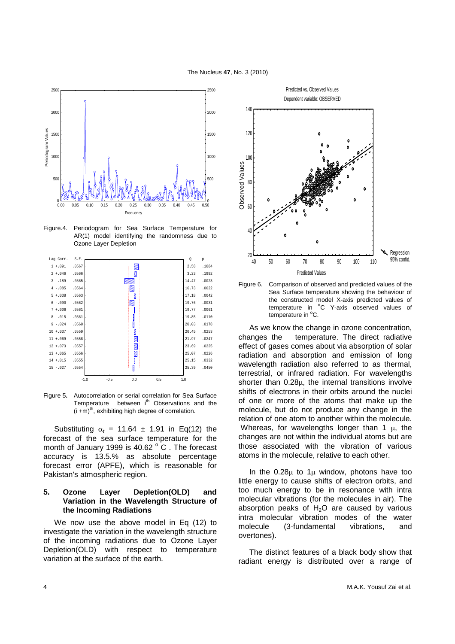

Figure.4. Periodogram for Sea Surface Temperature for AR(1) model identifying the randomness due to Ozone Layer Depletion



Figure 5**.** Autocorrelation or serial correlation for Sea Surface Temperature between i<sup>th</sup> Observations and the  $(i + m)$ <sup>th</sup>, exhibiting high degree of correlation.

Substituting  $\alpha_t = 11.64 \pm 1.91$  in Eq(12) the forecast of the sea surface temperature for the month of January 1999 is 40.62  $^{\circ}$  C . The forecast accuracy is 13.5.% as absolute percentage forecast error (APFE), which is reasonable for Pakistan's atmospheric region.

## **5. Ozone Layer Depletion(OLD) and Variation in the Wavelength Structure of the Incoming Radiations**

We now use the above model in Eq (12) to investigate the variation in the wavelength structure of the incoming radiations due to Ozone Layer Depletion(OLD) with respect to temperature variation at the surface of the earth.



Figure 6. Comparison of observed and predicted values of the Sea Surface temperature showing the behaviour of the constructed model X-axis predicted values of temperature in <sup>o</sup>C Y-axis observed values of temperature in <sup>o</sup>C.

As we know the change in ozone concentration, changes the temperature. The direct radiative effect of gases comes about via absorption of solar radiation and absorption and emission of long wavelength radiation also referred to as thermal, terrestrial, or infrared radiation. For wavelengths shorter than  $0.28\mu$ , the internal transitions involve shifts of electrons in their orbits around the nuclei of one or more of the atoms that make up the molecule, but do not produce any change in the relation of one atom to another within the molecule. Whereas, for wavelengths longer than 1  $\mu$ , the changes are not within the individual atoms but are those associated with the vibration of various atoms in the molecule, relative to each other.

In the  $0.28\mu$  to  $1\mu$  window, photons have too little energy to cause shifts of electron orbits, and too much energy to be in resonance with intra molecular vibrations (for the molecules in air). The absorption peaks of  $H<sub>2</sub>O$  are caused by various intra molecular vibration modes of the water molecule (3-fundamental vibrations, and overtones).

The distinct features of a black body show that radiant energy is distributed over a range of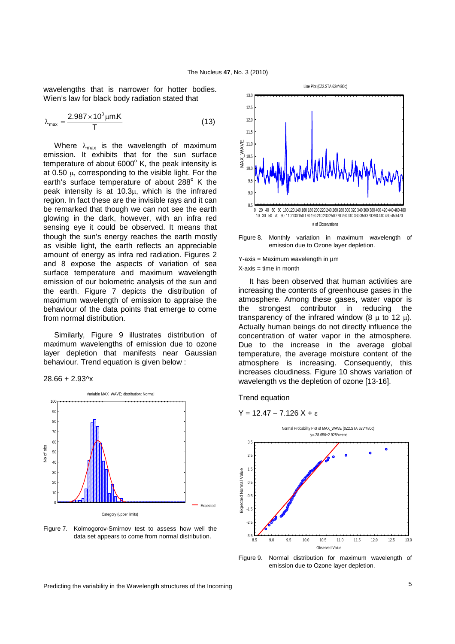wavelengths that is narrower for hotter bodies. Wien's law for black body radiation stated that

$$
\lambda_{\text{max}} = \frac{2.987 \times 10^3 \,\mu\text{m.K}}{\text{T}} \tag{13}
$$

Where  $\lambda_{\text{max}}$  is the wavelength of maximum emission. It exhibits that for the sun surface temperature of about 6000 $^{\circ}$  K, the peak intensity is at 0.50 µ, corresponding to the visible light. For the earth's surface temperature of about 288° K the peak intensity is at 10.3µ, which is the infrared region. In fact these are the invisible rays and it can be remarked that though we can not see the earth glowing in the dark, however, with an infra red sensing eye it could be observed. It means that though the sun's energy reaches the earth mostly as visible light, the earth reflects an appreciable amount of energy as infra red radiation. Figures 2 and 8 expose the aspects of variation of sea surface temperature and maximum wavelength emission of our bolometric analysis of the sun and the earth. Figure 7 depicts the distribution of maximum wavelength of emission to appraise the behaviour of the data points that emerge to come from normal distribution.

Similarly, Figure 9 illustrates distribution of maximum wavelengths of emission due to ozone layer depletion that manifests near Gaussian behaviour. Trend equation is given below :





Figure 7. Kolmogorov-Smirnov test to assess how well the data set appears to come from normal distribution.



Figure 8. Monthly variation in maximum wavelength of emission due to Ozone layer depletion.

Y-axis = Maximum wavelength in µm  $X$ -axis  $=$  time in month

It has been observed that human activities are increasing the contents of greenhouse gases in the atmosphere. Among these gases, water vapor is the strongest contributor in reducing the transparency of the infrared window  $(8 \text{ u to } 12 \text{ u})$ . Actually human beings do not directly influence the concentration of water vapor in the atmosphere. Due to the increase in the average global temperature, the average moisture content of the atmosphere is increasing. Consequently, this increases cloudiness. Figure 10 shows variation of wavelength vs the depletion of ozone [13-16].

Trend equation

$$
Y = 12.47 - 7.126 X + \epsilon
$$



Figure 9. Normal distribution for maximum wavelength of emission due to Ozone layer depletion.

Predicting the variability in the Wavelength structures of the Incoming **Franchise 1996** S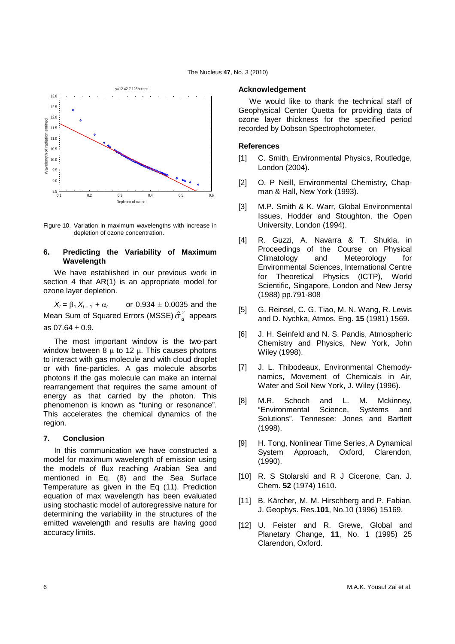



Figure 10. Variation in maximum wavelengths with increase in depletion of ozone concentration.

## **6. Predicting the Variability of Maximum Wavelength**

We have established in our previous work in section 4 that AR(1) is an appropriate model for ozone layer depletion.

 $X_t = \beta_1 X_{t-1} + \alpha_t$  or 0.934 ± 0.0035 and the Mean Sum of Squared Errors (MSSE) $\hat{\sigma}^2_a$  appears as  $07.64 \pm 0.9$ .

The most important window is the two-part window between 8  $\mu$  to 12  $\mu$ . This causes photons to interact with gas molecule and with cloud droplet or with fine-particles. A gas molecule absorbs photons if the gas molecule can make an internal rearrangement that requires the same amount of energy as that carried by the photon. This phenomenon is known as "tuning or resonance". This accelerates the chemical dynamics of the region.

### **7. Conclusion**

In this communication we have constructed a model for maximum wavelength of emission using the models of flux reaching Arabian Sea and mentioned in Eq. (8) and the Sea Surface Temperature as given in the Eq (11). Prediction equation of max wavelength has been evaluated using stochastic model of autoregressive nature for determining the variability in the structures of the emitted wavelength and results are having good accuracy limits.

#### **Acknowledgement**

We would like to thank the technical staff of Geophysical Center Quetta for providing data of ozone layer thickness for the specified period recorded by Dobson Spectrophotometer.

## **References**

- [1] C. Smith, Environmental Physics, Routledge, London (2004).
- [2] O. P Neill, Environmental Chemistry, Chapman & Hall, New York (1993).
- [3] M.P. Smith & K. Warr, Global Environmental Issues, Hodder and Stoughton, the Open University, London (1994).
- [4] R. Guzzi, A. Navarra & T. Shukla, in Proceedings of the Course on Physical Climatology and Meteorology for Environmental Sciences, International Centre for Theoretical Physics (ICTP), World Scientific, Singapore, London and New Jersy (1988) pp.791-808
- [5] G. Reinsel, C. G. Tiao, M. N. Wang, R. Lewis and D. Nychka, Atmos. Eng. **15** (1981) 1569.
- [6] J. H. Seinfeld and N. S. Pandis, Atmospheric Chemistry and Physics, New York, John Wiley (1998).
- [7] J. L. Thibodeaux, Environmental Chemodynamics, Movement of Chemicals in Air, Water and Soil New York, J. Wiley (1996).
- [8] M.R. Schoch and L. M. Mckinney, "Environmental Science, Systems and Solutions", Tennesee: Jones and Bartlett (1998).
- [9] H. Tong, Nonlinear Time Series, A Dynamical System Approach, Oxford, Clarendon, (1990).
- [10] R. S Stolarski and R J Cicerone, Can. J. Chem. **52** (1974) 1610.
- [11] B. Kärcher, M. M. Hirschberg and P. Fabian, J. Geophys. Res.**101**, No.10 (1996) 15169.
- [12] U. Feister and R. Grewe, Global and Planetary Change, **11**, No. 1 (1995) 25 Clarendon, Oxford.